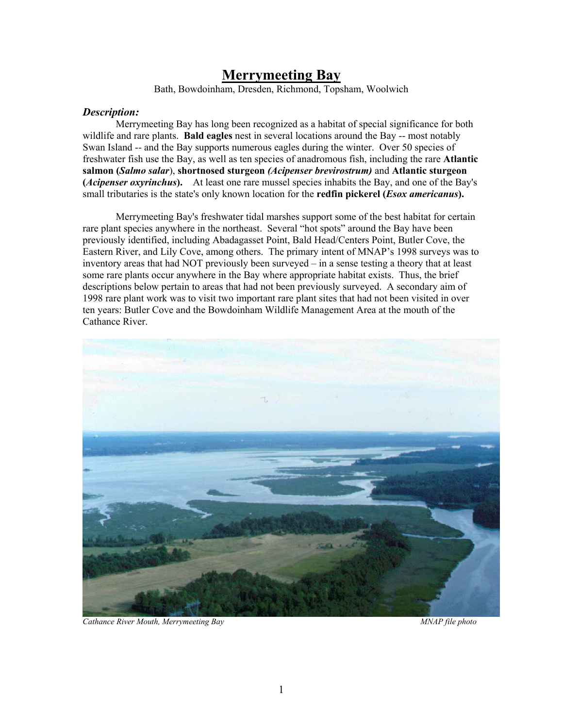# **Merrymeeting Bay**

Bath, Bowdoinham, Dresden, Richmond, Topsham, Woolwich

### *Description:*

Merrymeeting Bay has long been recognized as a habitat of special significance for both wildlife and rare plants. **Bald eagles** nest in several locations around the Bay -- most notably Swan Island -- and the Bay supports numerous eagles during the winter. Over 50 species of freshwater fish use the Bay, as well as ten species of anadromous fish, including the rare **Atlantic salmon (***Salmo salar*), **shortnosed sturgeon** *(Acipenser brevirostrum)* and **Atlantic sturgeon (***Acipenser oxyrinchus***).** At least one rare mussel species inhabits the Bay, and one of the Bay's small tributaries is the state's only known location for the **redfin pickerel (***Esox americanus***).**

Merrymeeting Bay's freshwater tidal marshes support some of the best habitat for certain rare plant species anywhere in the northeast. Several "hot spots" around the Bay have been previously identified, including Abadagasset Point, Bald Head/Centers Point, Butler Cove, the Eastern River, and Lily Cove, among others. The primary intent of MNAP's 1998 surveys was to inventory areas that had NOT previously been surveyed – in a sense testing a theory that at least some rare plants occur anywhere in the Bay where appropriate habitat exists. Thus, the brief descriptions below pertain to areas that had not been previously surveyed. A secondary aim of 1998 rare plant work was to visit two important rare plant sites that had not been visited in over ten years: Butler Cove and the Bowdoinham Wildlife Management Area at the mouth of the Cathance River.



*Cathance River Mouth, Merrymeeting Bay MNAP file photo*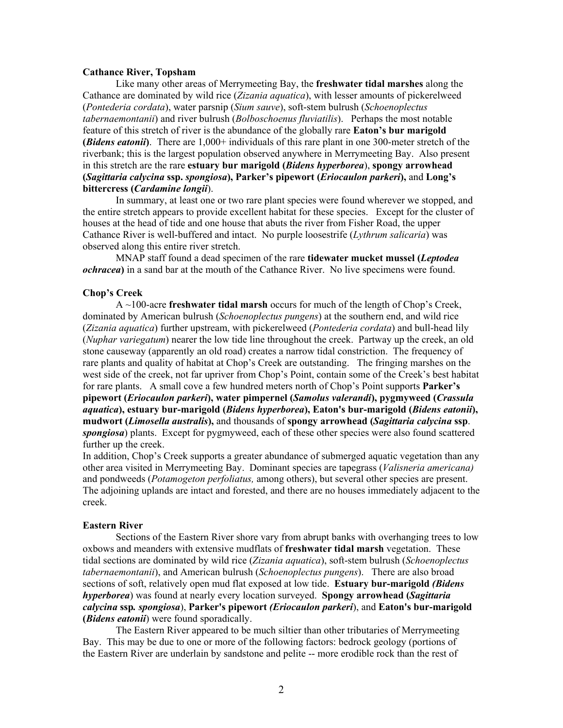#### **Cathance River, Topsham**

Like many other areas of Merrymeeting Bay, the **freshwater tidal marshes** along the Cathance are dominated by wild rice (*Zizania aquatica*), with lesser amounts of pickerelweed (*Pontederia cordata*), water parsnip (*Sium sauve*), soft-stem bulrush (*Schoenoplectus tabernaemontanii*) and river bulrush (*Bolboschoenus fluviatilis*). Perhaps the most notable feature of this stretch of river is the abundance of the globally rare **Eaton's bur marigold (***Bidens eatonii***)**. There are 1,000+ individuals of this rare plant in one 300-meter stretch of the riverbank; this is the largest population observed anywhere in Merrymeeting Bay. Also present in this stretch are the rare **estuary bur marigold (***Bidens hyperborea*), **spongy arrowhead (***Sagittaria calycina* **ssp.** *spongiosa***), Parker's pipewort (***Eriocaulon parkeri***),** and **Long's bittercress (***Cardamine longii*).

In summary, at least one or two rare plant species were found wherever we stopped, and the entire stretch appears to provide excellent habitat for these species. Except for the cluster of houses at the head of tide and one house that abuts the river from Fisher Road, the upper Cathance River is well-buffered and intact. No purple loosestrife (*Lythrum salicaria*) was observed along this entire river stretch.

MNAP staff found a dead specimen of the rare **tidewater mucket mussel (***Leptodea ochracea***)** in a sand bar at the mouth of the Cathance River. No live specimens were found.

#### **Chop's Creek**

A ~100-acre **freshwater tidal marsh** occurs for much of the length of Chop's Creek, dominated by American bulrush (*Schoenoplectus pungens*) at the southern end, and wild rice (*Zizania aquatica*) further upstream, with pickerelweed (*Pontederia cordata*) and bull-head lily (*Nuphar variegatum*) nearer the low tide line throughout the creek. Partway up the creek, an old stone causeway (apparently an old road) creates a narrow tidal constriction. The frequency of rare plants and quality of habitat at Chop's Creek are outstanding. The fringing marshes on the west side of the creek, not far upriver from Chop's Point, contain some of the Creek's best habitat for rare plants. A small cove a few hundred meters north of Chop's Point supports **Parker's pipewort (***Eriocaulon parkeri***), water pimpernel (***Samolus valerandi***), pygmyweed (***Crassula aquatica***), estuary bur-marigold (***Bidens hyperborea***), Eaton's bur-marigold (***Bidens eatonii***), mudwort (***Limosella australis***),** and thousands of **spongy arrowhead (***Sagittaria calycina* **ssp**. *spongiosa*) plants. Except for pygmyweed, each of these other species were also found scattered further up the creek.

In addition, Chop's Creek supports a greater abundance of submerged aquatic vegetation than any other area visited in Merrymeeting Bay. Dominant species are tapegrass (*Valisneria americana)* and pondweeds (*Potamogeton perfoliatus,* among others), but several other species are present. The adjoining uplands are intact and forested, and there are no houses immediately adjacent to the creek.

#### **Eastern River**

Sections of the Eastern River shore vary from abrupt banks with overhanging trees to low oxbows and meanders with extensive mudflats of **freshwater tidal marsh** vegetation. These tidal sections are dominated by wild rice (*Zizania aquatica*), soft-stem bulrush (*Schoenoplectus tabernaemontanii*), and American bulrush (*Schoenoplectus pungens*). There are also broad sections of soft, relatively open mud flat exposed at low tide. **Estuary bur-marigold** *(Bidens hyperborea*) was found at nearly every location surveyed. **Spongy arrowhead (***Sagittaria calycina* **ssp***. spongiosa*), **Parker's pipewort** *(Eriocaulon parkeri*), and **Eaton's bur-marigold (***Bidens eatonii*) were found sporadically.

The Eastern River appeared to be much siltier than other tributaries of Merrymeeting Bay. This may be due to one or more of the following factors: bedrock geology (portions of the Eastern River are underlain by sandstone and pelite -- more erodible rock than the rest of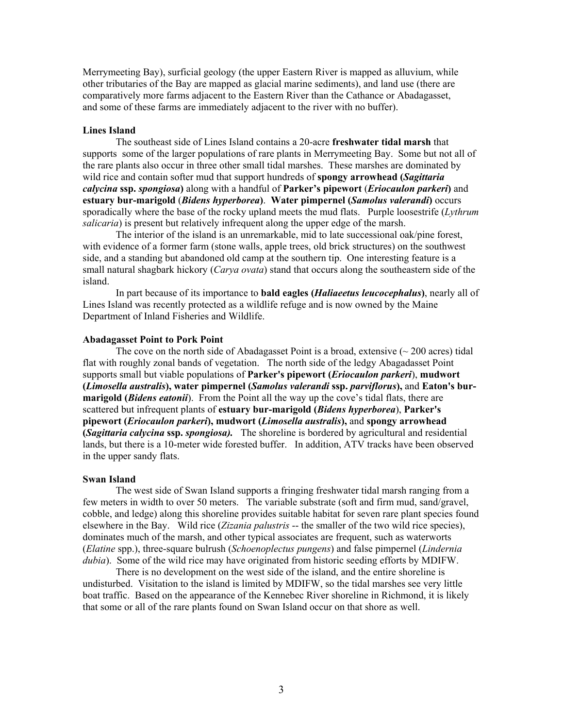Merrymeeting Bay), surficial geology (the upper Eastern River is mapped as alluvium, while other tributaries of the Bay are mapped as glacial marine sediments), and land use (there are comparatively more farms adjacent to the Eastern River than the Cathance or Abadagasset, and some of these farms are immediately adjacent to the river with no buffer).

#### **Lines Island**

The southeast side of Lines Island contains a 20-acre **freshwater tidal marsh** that supports some of the larger populations of rare plants in Merrymeeting Bay. Some but not all of the rare plants also occur in three other small tidal marshes. These marshes are dominated by wild rice and contain softer mud that support hundreds of **spongy arrowhead (***Sagittaria calycina* **ssp.** *spongiosa***)** along with a handful of **Parker's pipewort** (*Eriocaulon parkeri***)** and **estuary bur-marigold** (*Bidens hyperborea***)**. **Water pimpernel (***Samolus valerandi***)** occurs sporadically where the base of the rocky upland meets the mud flats. Purple loosestrife (*Lythrum salicaria*) is present but relatively infrequent along the upper edge of the marsh.

The interior of the island is an unremarkable, mid to late successional oak/pine forest, with evidence of a former farm (stone walls, apple trees, old brick structures) on the southwest side, and a standing but abandoned old camp at the southern tip. One interesting feature is a small natural shagbark hickory (*Carya ovata*) stand that occurs along the southeastern side of the island.

In part because of its importance to **bald eagles (***Haliaeetus leucocephalus***)**, nearly all of Lines Island was recently protected as a wildlife refuge and is now owned by the Maine Department of Inland Fisheries and Wildlife.

#### **Abadagasset Point to Pork Point**

The cove on the north side of Abadagasset Point is a broad, extensive  $(\sim 200$  acres) tidal flat with roughly zonal bands of vegetation. The north side of the ledgy Abagadasset Point supports small but viable populations of **Parker's pipewort (***Eriocaulon parkeri*), **mudwort (***Limosella australis***), water pimpernel (***Samolus valerandi* **ssp.** *parviflorus***),** and **Eaton's burmarigold (***Bidens eatonii*). From the Point all the way up the cove's tidal flats, there are scattered but infrequent plants of **estuary bur-marigold (***Bidens hyperborea*), **Parker's pipewort (***Eriocaulon parkeri***), mudwort (***Limosella australis***),** and **spongy arrowhead (***Sagittaria calycina* **ssp.** *spongiosa).* The shoreline is bordered by agricultural and residential lands, but there is a 10-meter wide forested buffer. In addition, ATV tracks have been observed in the upper sandy flats.

#### **Swan Island**

The west side of Swan Island supports a fringing freshwater tidal marsh ranging from a few meters in width to over 50 meters. The variable substrate (soft and firm mud, sand/gravel, cobble, and ledge) along this shoreline provides suitable habitat for seven rare plant species found elsewhere in the Bay. Wild rice (*Zizania palustris* -- the smaller of the two wild rice species), dominates much of the marsh, and other typical associates are frequent, such as waterworts (*Elatine* spp.), three-square bulrush (*Schoenoplectus pungens*) and false pimpernel (*Lindernia dubia*). Some of the wild rice may have originated from historic seeding efforts by MDIFW.

There is no development on the west side of the island, and the entire shoreline is undisturbed. Visitation to the island is limited by MDIFW, so the tidal marshes see very little boat traffic. Based on the appearance of the Kennebec River shoreline in Richmond, it is likely that some or all of the rare plants found on Swan Island occur on that shore as well.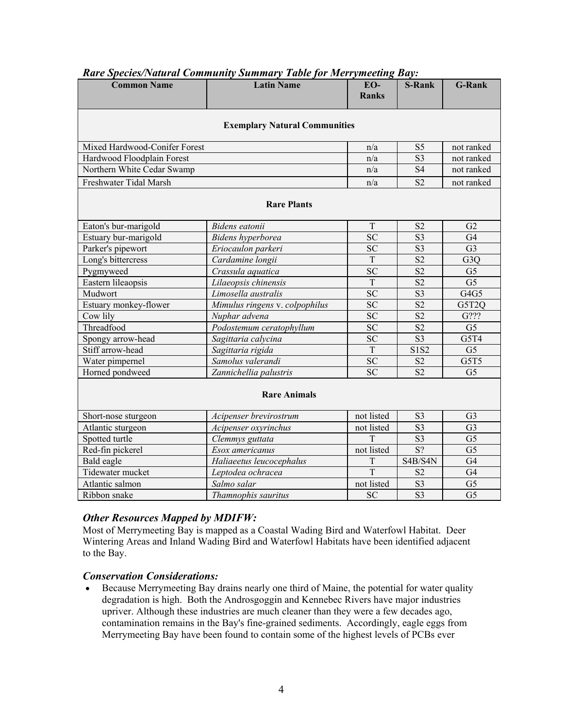| <b>Common Name</b>                   | <b>Latin Name</b>              | EO-<br><b>Ranks</b> | <b>S-Rank</b>   | <b>G-Rank</b>    |
|--------------------------------------|--------------------------------|---------------------|-----------------|------------------|
| <b>Exemplary Natural Communities</b> |                                |                     |                 |                  |
| Mixed Hardwood-Conifer Forest        |                                | n/a                 | S <sub>5</sub>  | not ranked       |
| Hardwood Floodplain Forest           |                                | n/a                 | S <sub>3</sub>  | not ranked       |
| Northern White Cedar Swamp           |                                | n/a                 | <b>S4</b>       | not ranked       |
| Freshwater Tidal Marsh               |                                | n/a                 | S <sub>2</sub>  | not ranked       |
| <b>Rare Plants</b>                   |                                |                     |                 |                  |
| Eaton's bur-marigold                 | Bidens eatonii                 | T                   | S <sub>2</sub>  | G2               |
| Estuary bur-marigold                 | Bidens hyperborea              | <b>SC</b>           | S <sub>3</sub>  | G <sub>4</sub>   |
| Parker's pipewort                    | Eriocaulon parkeri             | <b>SC</b>           | S <sub>3</sub>  | G <sub>3</sub>   |
| Long's bittercress                   | Cardamine longii               | T                   | S <sub>2</sub>  | G <sub>3</sub> Q |
| Pygmyweed                            | Crassula aquatica              | <b>SC</b>           | S <sub>2</sub>  | G <sub>5</sub>   |
| Eastern lileaopsis                   | Lilaeopsis chinensis           | T                   | S <sub>2</sub>  | G <sub>5</sub>   |
| Mudwort                              | Limosella australis            | <b>SC</b>           | S <sub>3</sub>  | G4G5             |
| Estuary monkey-flower                | Mimulus ringens v. colpophilus | <b>SC</b>           | S <sub>2</sub>  | G5T2Q            |
| Cow lily                             | Nuphar advena                  | <b>SC</b>           | S <sub>2</sub>  | G???             |
| Threadfood                           | Podostemum ceratophyllum       | <b>SC</b>           | S <sub>2</sub>  | G <sub>5</sub>   |
| Spongy arrow-head                    | Sagittaria calycina            | <b>SC</b>           | S <sub>3</sub>  | G5T4             |
| Stiff arrow-head                     | Sagittaria rigida              | T                   | S1S2            | G <sub>5</sub>   |
| Water pimpernel                      | Samolus valerandi              | <b>SC</b>           | S <sub>2</sub>  | G5T5             |
| Horned pondweed                      | Zannichellia palustris         | <b>SC</b>           | S <sub>2</sub>  | G <sub>5</sub>   |
| <b>Rare Animals</b>                  |                                |                     |                 |                  |
| Short-nose sturgeon                  | Acipenser brevirostrum         | not listed          | S <sub>3</sub>  | G <sub>3</sub>   |
| Atlantic sturgeon                    | Acipenser oxyrinchus           | not listed          | S <sub>3</sub>  | G <sub>3</sub>   |
| Spotted turtle                       | Clemmys guttata                | T                   | S <sub>3</sub>  | G <sub>5</sub>   |
| Red-fin pickerel                     | Esox americanus                | not listed          | $\overline{S?}$ | G <sub>5</sub>   |
| Bald eagle                           | Haliaeetus leucocephalus       | T                   | S4B/S4N         | G <sub>4</sub>   |
| Tidewater mucket                     | Leptodea ochracea              | T                   | S <sub>2</sub>  | G <sub>4</sub>   |
| Atlantic salmon                      | Salmo salar                    | not listed          | S <sub>3</sub>  | G <sub>5</sub>   |
| Ribbon snake                         | Thamnophis sauritus            | <b>SC</b>           | S <sub>3</sub>  | G <sub>5</sub>   |

# *Rare Species/Natural Community Summary Table for Merrymeeting Bay:*

## *Other Resources Mapped by MDIFW:*

Most of Merrymeeting Bay is mapped as a Coastal Wading Bird and Waterfowl Habitat. Deer Wintering Areas and Inland Wading Bird and Waterfowl Habitats have been identified adjacent to the Bay.

## *Conservation Considerations:*

• Because Merrymeeting Bay drains nearly one third of Maine, the potential for water quality degradation is high. Both the Androsgoggin and Kennebec Rivers have major industries upriver. Although these industries are much cleaner than they were a few decades ago, contamination remains in the Bay's fine-grained sediments. Accordingly, eagle eggs from Merrymeeting Bay have been found to contain some of the highest levels of PCBs ever